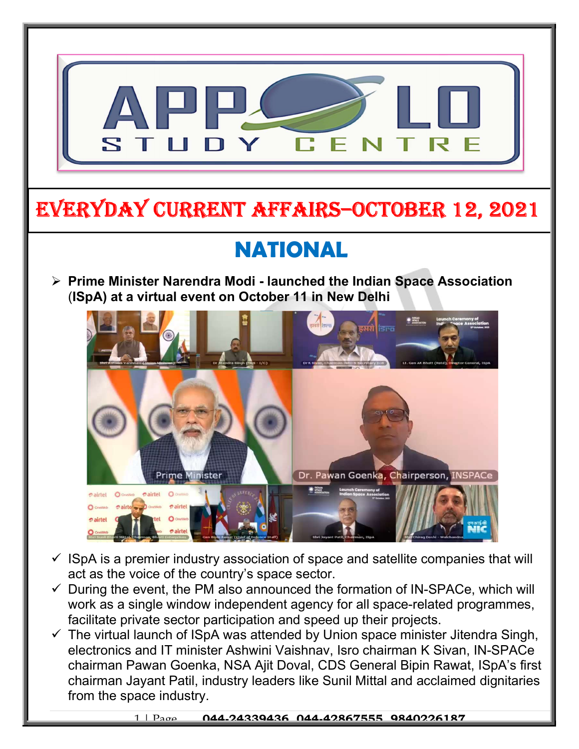

 $\checkmark$  The virtual launch of ISpA was attended by Union space minister Jitendra Singh, electronics and IT minister Ashwini Vaishnav, Isro chairman K Sivan, IN-SPACe chairman Pawan Goenka, NSA Ajit Doval, CDS General Bipin Rawat, ISpA's first chairman Jayant Patil, industry leaders like Sunil Mittal and acclaimed dignitaries from the space industry.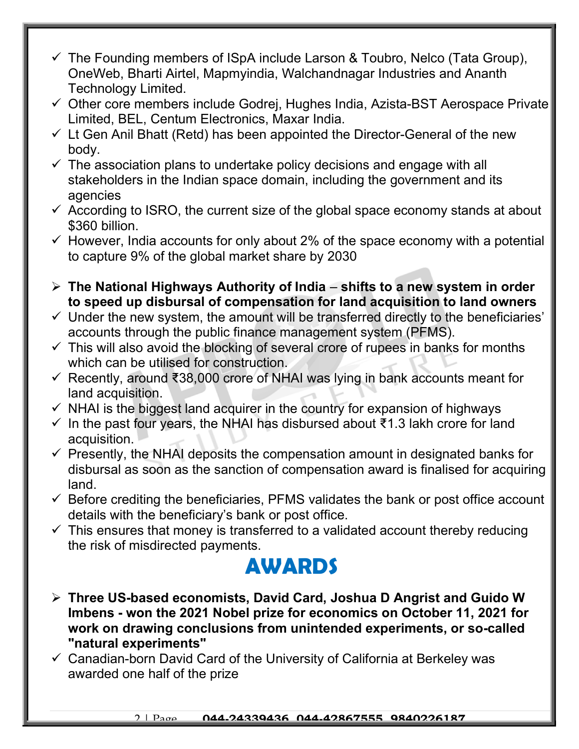- $\checkmark$  The Founding members of ISpA include Larson & Toubro, Nelco (Tata Group), OneWeb, Bharti Airtel, Mapmyindia, Walchandnagar Industries and Ananth Technology Limited.
- $\checkmark$  Other core members include Godrej, Hughes India, Azista-BST Aerospace Private Limited, BEL, Centum Electronics, Maxar India.
- $\checkmark$  Lt Gen Anil Bhatt (Retd) has been appointed the Director-General of the new body.
- $\checkmark$  The association plans to undertake policy decisions and engage with all stakeholders in the Indian space domain, including the government and its agencies
- $\checkmark$  According to ISRO, the current size of the global space economy stands at about \$360 billion.
- $\checkmark$  However, India accounts for only about 2% of the space economy with a potential to capture 9% of the global market share by 2030
- $\triangleright$  The National Highways Authority of India shifts to a new system in order to speed up disbursal of compensation for land acquisition to land owners
- $\checkmark$  Under the new system, the amount will be transferred directly to the beneficiaries' accounts through the public finance management system (PFMS).
- $\checkmark$  This will also avoid the blocking of several crore of rupees in banks for months which can be utilised for construction.
- Recently, around ₹38,000 crore of NHAI was lying in bank accounts meant for land acquisition.
- $\checkmark$  NHAI is the biggest land acquirer in the country for expansion of highways
- $\checkmark$  In the past four years, the NHAI has disbursed about ₹1.3 lakh crore for land acquisition.
- $\checkmark$  Presently, the NHAI deposits the compensation amount in designated banks for disbursal as soon as the sanction of compensation award is finalised for acquiring land.
- $\checkmark$  Before crediting the beneficiaries, PFMS validates the bank or post office account details with the beneficiary's bank or post office.
- $\checkmark$  This ensures that money is transferred to a validated account thereby reducing the risk of misdirected payments.

## AWARDS

- Three US-based economists, David Card, Joshua D Angrist and Guido W Imbens - won the 2021 Nobel prize for economics on October 11, 2021 for work on drawing conclusions from unintended experiments, or so-called "natural experiments"
- $\checkmark$  Canadian-born David Card of the University of California at Berkeley was awarded one half of the prize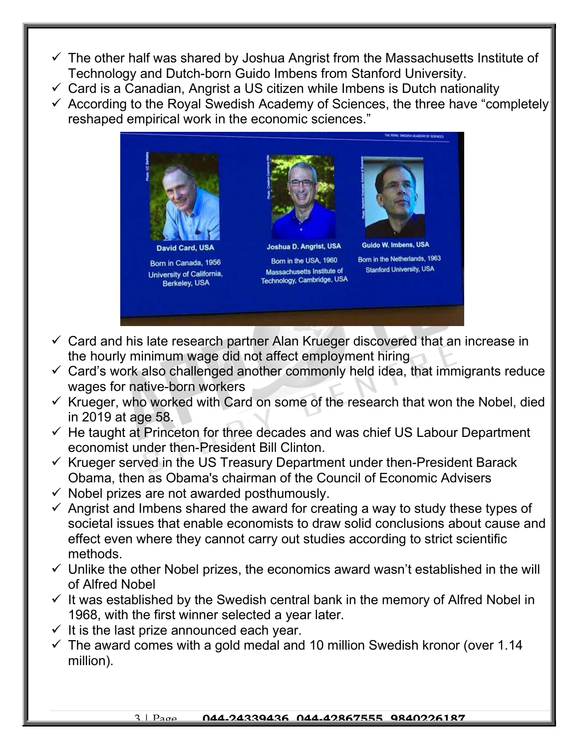- $\checkmark$  The other half was shared by Joshua Angrist from the Massachusetts Institute of Technology and Dutch-born Guido Imbens from Stanford University.
- $\checkmark$  Card is a Canadian, Angrist a US citizen while Imbens is Dutch nationality
- $\checkmark$  According to the Royal Swedish Academy of Sciences, the three have "completely reshaped empirical work in the economic sciences."



- $\checkmark$  Card and his late research partner Alan Krueger discovered that an increase in the hourly minimum wage did not affect employment hiring
- $\checkmark$  Card's work also challenged another commonly held idea, that immigrants reduce wages for native-born workers
- $\checkmark$  Krueger, who worked with Card on some of the research that won the Nobel, died in 2019 at age 58.
- $\checkmark$  He taught at Princeton for three decades and was chief US Labour Department economist under then-President Bill Clinton.
- $\checkmark$  Krueger served in the US Treasury Department under then-President Barack Obama, then as Obama's chairman of the Council of Economic Advisers
- $\checkmark$  Nobel prizes are not awarded posthumously.
- $\checkmark$  Angrist and Imbens shared the award for creating a way to study these types of societal issues that enable economists to draw solid conclusions about cause and effect even where they cannot carry out studies according to strict scientific methods.
- $\checkmark$  Unlike the other Nobel prizes, the economics award wasn't established in the will of Alfred Nobel
- $\checkmark$  It was established by the Swedish central bank in the memory of Alfred Nobel in 1968, with the first winner selected a year later.
- $\checkmark$  It is the last prize announced each year.
- $\checkmark$  The award comes with a gold medal and 10 million Swedish kronor (over 1.14 million).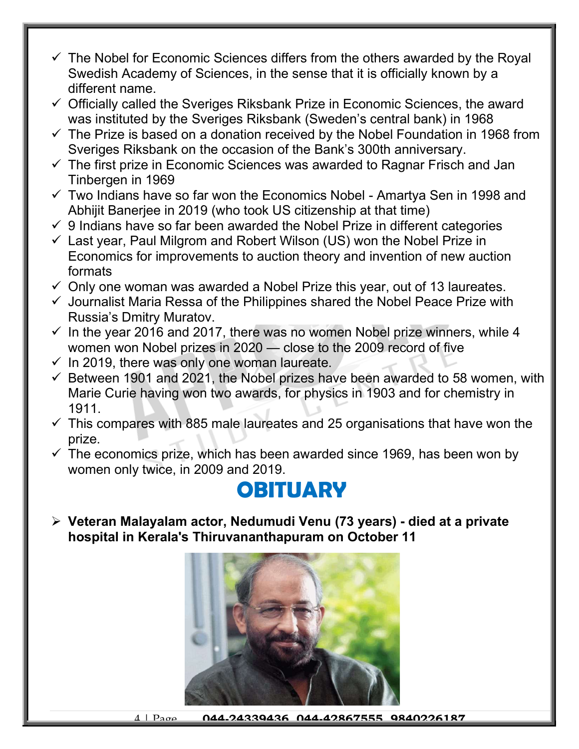- $\checkmark$  The Nobel for Economic Sciences differs from the others awarded by the Royal Swedish Academy of Sciences, in the sense that it is officially known by a different name.
- $\checkmark$  Officially called the Sveriges Riksbank Prize in Economic Sciences, the award was instituted by the Sveriges Riksbank (Sweden's central bank) in 1968
- $\checkmark$  The Prize is based on a donation received by the Nobel Foundation in 1968 from Sveriges Riksbank on the occasion of the Bank's 300th anniversary.
- $\checkmark$  The first prize in Economic Sciences was awarded to Ragnar Frisch and Jan Tinbergen in 1969
- $\checkmark$  Two Indians have so far won the Economics Nobel Amartya Sen in 1998 and Abhijit Banerjee in 2019 (who took US citizenship at that time)
- $\checkmark$  9 Indians have so far been awarded the Nobel Prize in different categories
- $\checkmark$  Last year, Paul Milgrom and Robert Wilson (US) won the Nobel Prize in Economics for improvements to auction theory and invention of new auction formats
- $\checkmark$  Only one woman was awarded a Nobel Prize this year, out of 13 laureates.
- $\checkmark$  Journalist Maria Ressa of the Philippines shared the Nobel Peace Prize with Russia's Dmitry Muratov.
- $\checkmark$  In the year 2016 and 2017, there was no women Nobel prize winners, while 4 women won Nobel prizes in 2020 — close to the 2009 record of five
- $\checkmark$  In 2019, there was only one woman laureate.
- $\checkmark$  Between 1901 and 2021, the Nobel prizes have been awarded to 58 women, with Marie Curie having won two awards, for physics in 1903 and for chemistry in 1911.
- $\checkmark$  This compares with 885 male laureates and 25 organisations that have won the prize.
- $\checkmark$  The economics prize, which has been awarded since 1969, has been won by women only twice, in 2009 and 2019.

## **OBITUARY**

 Veteran Malayalam actor, Nedumudi Venu (73 years) - died at a private hospital in Kerala's Thiruvananthapuram on October 11

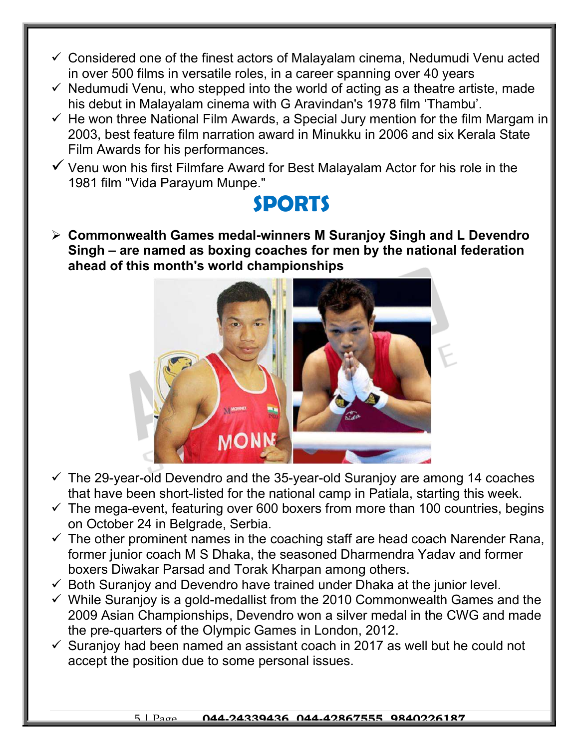- $\checkmark$  Considered one of the finest actors of Malayalam cinema, Nedumudi Venu acted in over 500 films in versatile roles, in a career spanning over 40 years
- $\checkmark$  Nedumudi Venu, who stepped into the world of acting as a theatre artiste, made his debut in Malayalam cinema with G Aravindan's 1978 film 'Thambu'.
- $\checkmark$  He won three National Film Awards, a Special Jury mention for the film Margam in 2003, best feature film narration award in Minukku in 2006 and six Kerala State Film Awards for his performances.
- $\checkmark$  Venu won his first Filmfare Award for Best Malayalam Actor for his role in the 1981 film "Vida Parayum Munpe."

## SPORTS

 Commonwealth Games medal-winners M Suranjoy Singh and L Devendro Singh – are named as boxing coaches for men by the national federation ahead of this month's world championships



- $\checkmark$  The 29-year-old Devendro and the 35-year-old Suranjoy are among 14 coaches that have been short-listed for the national camp in Patiala, starting this week.
- $\checkmark$  The mega-event, featuring over 600 boxers from more than 100 countries, begins on October 24 in Belgrade, Serbia.
- $\checkmark$  The other prominent names in the coaching staff are head coach Narender Rana, former junior coach M S Dhaka, the seasoned Dharmendra Yadav and former boxers Diwakar Parsad and Torak Kharpan among others.
- $\checkmark$  Both Suranjoy and Devendro have trained under Dhaka at the junior level.
- $\checkmark$  While Suranjoy is a gold-medallist from the 2010 Commonwealth Games and the 2009 Asian Championships, Devendro won a silver medal in the CWG and made the pre-quarters of the Olympic Games in London, 2012.
- $\checkmark$  Suranjoy had been named an assistant coach in 2017 as well but he could not accept the position due to some personal issues.